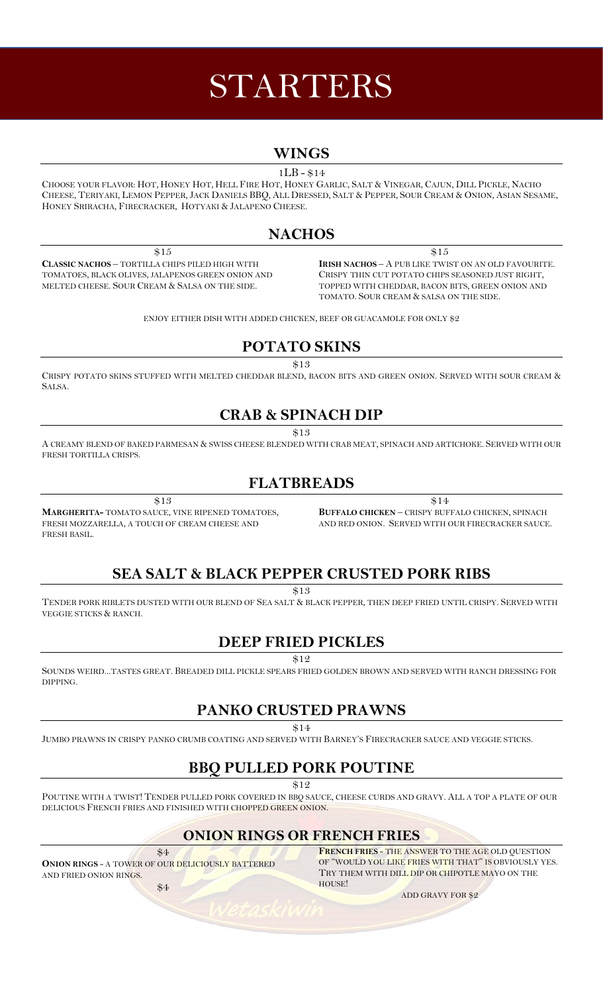# STARTERS

### **WINGS**

1LB - \$14

CHOOSE YOUR FLAVOR: HOT, HONEY HOT, HELL FIRE HOT, HONEY GARLIC, SALT & VINEGAR, CAJUN, DILL PICKLE, NACHO CHEESE, TERIYAKI, LEMON PEPPER, JACK DANIELS BBQ, ALL DRESSED, SALT & PEPPER, SOUR CREAM & ONION, ASIAN SESAME, HONEY SRIRACHA, FIRECRACKER, HOTYAKI & JALAPENO CHEESE.

## **NACHOS**

\$15 **CLASSIC NACHOS** – TORTILLA CHIPS PILED HIGH WITH TOMATOES, BLACK OLIVES, JALAPENOS GREEN ONION AND MELTED CHEESE. SOUR CREAM & SALSA ON THE SIDE.

\$15 **IRISH NACHOS** – A PUB LIKE TWIST ON AN OLD FAVOURITE. CRISPY THIN CUT POTATO CHIPS SEASONED JUST RIGHT, TOPPED WITH CHEDDAR, BACON BITS, GREEN ONION AND TOMATO. SOUR CREAM & SALSA ON THE SIDE.

ENJOY EITHER DISH WITH ADDED CHICKEN, BEEF OR GUACAMOLE FOR ONLY \$2

## **POTATO SKINS**

\$13

CRISPY POTATO SKINS STUFFED WITH MELTED CHEDDAR BLEND, BACON BITS AND GREEN ONION. SERVED WITH SOUR CREAM & SALSA.

## **CRAB & SPINACH DIP**

\$13

A CREAMY BLEND OF BAKED PARMESAN & SWISS CHEESE BLENDED WITH CRAB MEAT, SPINACH AND ARTICHOKE. SERVED WITH OUR FRESH TORTILLA CRISPS.

## **FLATBREADS**

\$13

**MARGHERITA-** TOMATO SAUCE, VINE RIPENED TOMATOES, FRESH MOZZARELLA, A TOUCH OF CREAM CHEESE AND FRESH BASIL.

\$14 **BUFFALO CHICKEN** – CRISPY BUFFALO CHICKEN, SPINACH AND RED ONION. SERVED WITH OUR FIRECRACKER SAUCE.

# **SEA SALT & BLACK PEPPER CRUSTED PORK RIBS**

\$13

TENDER PORK RIBLETS DUSTED WITH OUR BLEND OF SEA SALT & BLACK PEPPER, THEN DEEP FRIED UNTIL CRISPY. SERVED WITH VEGGIE STICKS & RANCH.

# **DEEP FRIED PICKLES**

\$12

SOUNDS WEIRD...TASTES GREAT. BREADED DILL PICKLE SPEARS FRIED GOLDEN BROWN AND SERVED WITH RANCH DRESSING FOR DIPPING.

## **PANKO CRUSTED PRAWNS**

\$14

JUMBO PRAWNS IN CRISPY PANKO CRUMB COATING AND SERVED WITH BARNEY'S FIRECRACKER SAUCE AND VEGGIE STICKS.

# **BBQ PULLED PORK POUTINE**

\$12

POUTINE WITH A TWIST! TENDER PULLED PORK COVERED IN BBQ SAUCE, CHEESE CURDS AND GRAVY. ALL A TOP A PLATE OF OUR DELICIOUS FRENCH FRIES AND FINISHED WITH CHOPPED GREEN ONION.

# **ONION RINGS OR FRENCH FRIES**

\$4 **ONION RINGS** - A TOWER OF OUR DELICIOUSLY BATTERED AND FRIED ONION RINGS.

**FRENCH FRIES** - THE ANSWER TO THE AGE OLD QUESTION OF "WOULD YOU LIKE FRIES WITH THAT" IS OBVIOUSLY YES. TRY THEM WITH DILL DIP OR CHIPOTLE MAYO ON THE HOUSE!

ADD GRAVY FOR \$2

\$4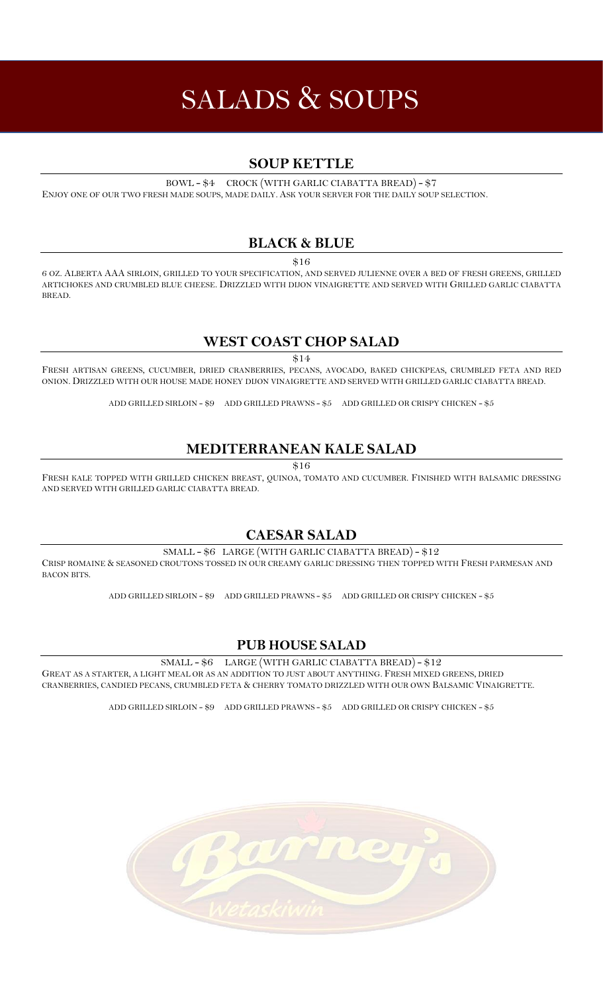# SALADS & SOUPS

#### **SOUP KETTLE**

BOWL - \$4 CROCK (WITH GARLIC CIABATTA BREAD) - \$7

ENJOY ONE OF OUR TWO FRESH MADE SOUPS, MADE DAILY. ASK YOUR SERVER FOR THE DAILY SOUP SELECTION.

#### **BLACK & BLUE**

\$16

6 OZ. ALBERTA AAA SIRLOIN, GRILLED TO YOUR SPECIFICATION, AND SERVED JULIENNE OVER A BED OF FRESH GREENS, GRILLED ARTICHOKES AND CRUMBLED BLUE CHEESE. DRIZZLED WITH DIJON VINAIGRETTE AND SERVED WITH GRILLED GARLIC CIABATTA BREAD.

#### **WEST COAST CHOP SALAD**

\$14

FRESH ARTISAN GREENS, CUCUMBER, DRIED CRANBERRIES, PECANS, AVOCADO, BAKED CHICKPEAS, CRUMBLED FETA AND RED ONION. DRIZZLED WITH OUR HOUSE MADE HONEY DIJON VINAIGRETTE AND SERVED WITH GRILLED GARLIC CIABATTA BREAD.

ADD GRILLED SIRLOIN - \$9 ADD GRILLED PRAWNS - \$5 ADD GRILLED OR CRISPY CHICKEN - \$5

#### **MEDITERRANEAN KALE SALAD**

\$16

FRESH KALE TOPPED WITH GRILLED CHICKEN BREAST, QUINOA, TOMATO AND CUCUMBER. FINISHED WITH BALSAMIC DRESSING AND SERVED WITH GRILLED GARLIC CIABATTA BREAD.

#### **CAESAR SALAD**

SMALL - \$6 LARGE (WITH GARLIC CIABATTA BREAD) - \$12

CRISP ROMAINE & SEASONED CROUTONS TOSSED IN OUR CREAMY GARLIC DRESSING THEN TOPPED WITH FRESH PARMESAN AND BACON BITS.

ADD GRILLED SIRLOIN - \$9 ADD GRILLED PRAWNS - \$5 ADD GRILLED OR CRISPY CHICKEN - \$5

#### **PUB HOUSE SALAD**

SMALL - \$6 LARGE (WITH GARLIC CIABATTA BREAD) - \$12

GREAT AS A STARTER, A LIGHT MEAL OR AS AN ADDITION TO JUST ABOUT ANYTHING. FRESH MIXED GREENS, DRIED CRANBERRIES, CANDIED PECANS, CRUMBLED FETA & CHERRY TOMATO DRIZZLED WITH OUR OWN BALSAMIC VINAIGRETTE.

ADD GRILLED SIRLOIN - \$9 ADD GRILLED PRAWNS - \$5 ADD GRILLED OR CRISPY CHICKEN - \$5

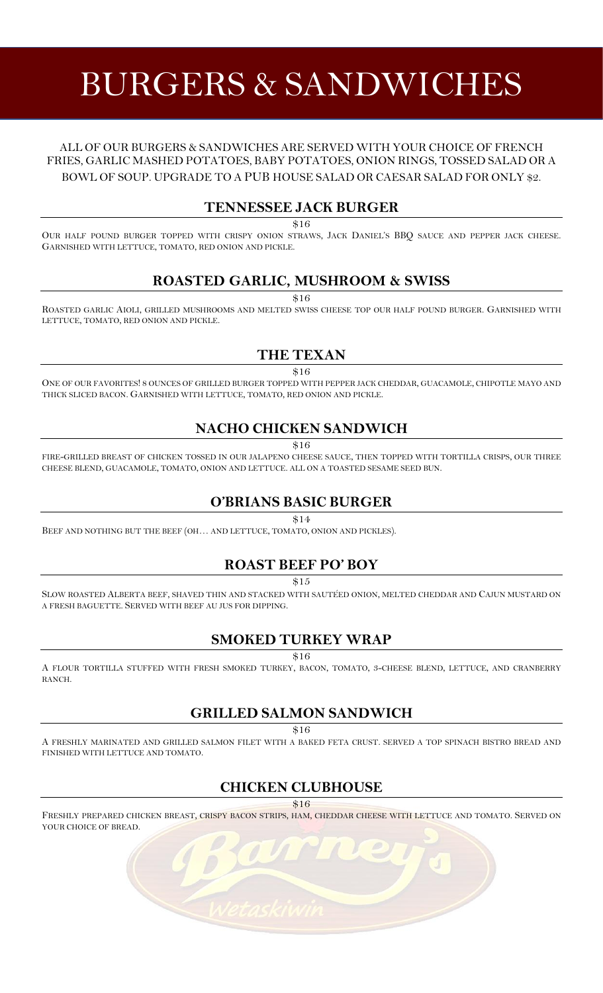# BURGERS & SANDWICHES

#### ALL OF OUR BURGERS & SANDWICHES ARE SERVED WITH YOUR CHOICE OF FRENCH FRIES, GARLIC MASHED POTATOES, BABY POTATOES, ONION RINGS, TOSSED SALAD OR A BOWL OF SOUP. UPGRADE TO A PUB HOUSE SALAD OR CAESAR SALAD FOR ONLY \$2.

#### **TENNESSEE JACK BURGER**

\$16

OUR HALF POUND BURGER TOPPED WITH CRISPY ONION STRAWS, JACK DANIEL'S BBQ SAUCE AND PEPPER JACK CHEESE. GARNISHED WITH LETTUCE, TOMATO, RED ONION AND PICKLE.

#### **ROASTED GARLIC, MUSHROOM & SWISS**

\$16

ROASTED GARLIC AIOLI, GRILLED MUSHROOMS AND MELTED SWISS CHEESE TOP OUR HALF POUND BURGER. GARNISHED WITH LETTUCE, TOMATO, RED ONION AND PICKLE.

#### **THE TEXAN**

\$16

ONE OF OUR FAVORITES! 8 OUNCES OF GRILLED BURGER TOPPED WITH PEPPER JACK CHEDDAR, GUACAMOLE, CHIPOTLE MAYO AND THICK SLICED BACON. GARNISHED WITH LETTUCE, TOMATO, RED ONION AND PICKLE.

## **NACHO CHICKEN SANDWICH**

 $$16$ 

FIRE-GRILLED BREAST OF CHICKEN TOSSED IN OUR JALAPENO CHEESE SAUCE, THEN TOPPED WITH TORTILLA CRISPS, OUR THREE CHEESE BLEND, GUACAMOLE, TOMATO, ONION AND LETTUCE. ALL ON A TOASTED SESAME SEED BUN.

## **O'BRIANS BASIC BURGER**

\$14

BEEF AND NOTHING BUT THE BEEF (OH… AND LETTUCE, TOMATO, ONION AND PICKLES).

#### **ROAST BEEF PO' BOY**

\$15

SLOW ROASTED ALBERTA BEEF, SHAVED THIN AND STACKED WITH SAUTÉED ONION, MELTED CHEDDAR AND CAJUN MUSTARD ON A FRESH BAGUETTE. SERVED WITH BEEF AU JUS FOR DIPPING.

#### **SMOKED TURKEY WRAP**

\$16

A FLOUR TORTILLA STUFFED WITH FRESH SMOKED TURKEY, BACON, TOMATO, 3-CHEESE BLEND, LETTUCE, AND CRANBERRY RANCH.

#### **GRILLED SALMON SANDWICH**

\$16

A FRESHLY MARINATED AND GRILLED SALMON FILET WITH A BAKED FETA CRUST. SERVED A TOP SPINACH BISTRO BREAD AND FINISHED WITH LETTUCE AND TOMATO.

# **CHICKEN CLUBHOUSE**

\$16

FRESHLY PREPARED CHICKEN BREAST, CRISPY BACON STRIPS, HAM, CHEDDAR CHEESE WITH LETTUCE AND TOMATO. SERVED ON YOUR CHOICE OF BREAD.